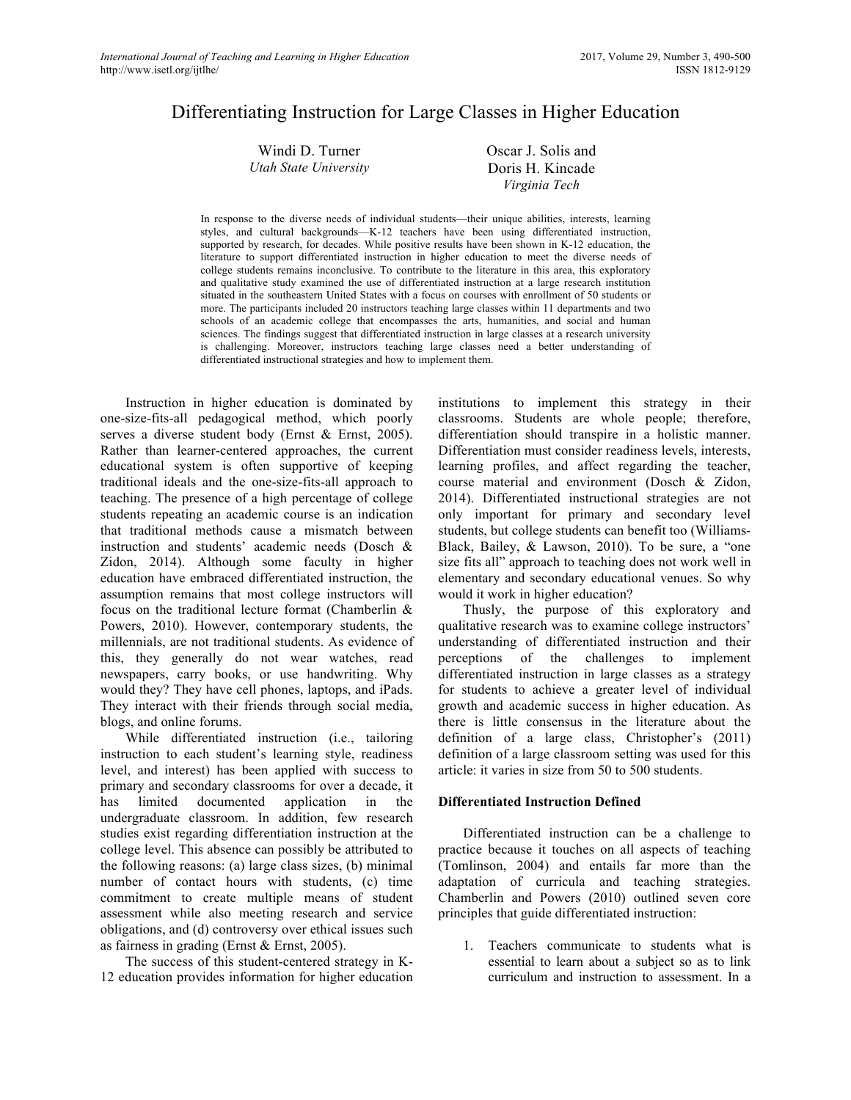# Differentiating Instruction for Large Classes in Higher Education

| Windi D. Turner       | Oscar J. Solis and |
|-----------------------|--------------------|
| Utah State University | Doris H. Kincade   |
|                       | Virginia Tech      |

In response to the diverse needs of individual students—their unique abilities, interests, learning styles, and cultural backgrounds—K-12 teachers have been using differentiated instruction, supported by research, for decades. While positive results have been shown in K-12 education, the literature to support differentiated instruction in higher education to meet the diverse needs of college students remains inconclusive. To contribute to the literature in this area, this exploratory and qualitative study examined the use of differentiated instruction at a large research institution situated in the southeastern United States with a focus on courses with enrollment of 50 students or more. The participants included 20 instructors teaching large classes within 11 departments and two schools of an academic college that encompasses the arts, humanities, and social and human sciences. The findings suggest that differentiated instruction in large classes at a research university is challenging. Moreover, instructors teaching large classes need a better understanding of differentiated instructional strategies and how to implement them.

Instruction in higher education is dominated by one-size-fits-all pedagogical method, which poorly serves a diverse student body (Ernst & Ernst, 2005). Rather than learner-centered approaches, the current educational system is often supportive of keeping traditional ideals and the one-size-fits-all approach to teaching. The presence of a high percentage of college students repeating an academic course is an indication that traditional methods cause a mismatch between instruction and students' academic needs (Dosch & Zidon, 2014). Although some faculty in higher education have embraced differentiated instruction, the assumption remains that most college instructors will focus on the traditional lecture format (Chamberlin & Powers, 2010). However, contemporary students, the millennials, are not traditional students. As evidence of this, they generally do not wear watches, read newspapers, carry books, or use handwriting. Why would they? They have cell phones, laptops, and iPads. They interact with their friends through social media, blogs, and online forums.

While differentiated instruction (i.e., tailoring instruction to each student's learning style, readiness level, and interest) has been applied with success to primary and secondary classrooms for over a decade, it has limited documented application in the undergraduate classroom. In addition, few research studies exist regarding differentiation instruction at the college level. This absence can possibly be attributed to the following reasons: (a) large class sizes, (b) minimal number of contact hours with students, (c) time commitment to create multiple means of student assessment while also meeting research and service obligations, and (d) controversy over ethical issues such as fairness in grading (Ernst & Ernst, 2005).

The success of this student-centered strategy in K-12 education provides information for higher education

institutions to implement this strategy in their classrooms. Students are whole people; therefore, differentiation should transpire in a holistic manner. Differentiation must consider readiness levels, interests, learning profiles, and affect regarding the teacher, course material and environment (Dosch & Zidon, 2014). Differentiated instructional strategies are not only important for primary and secondary level students, but college students can benefit too (Williams-Black, Bailey, & Lawson, 2010). To be sure, a "one size fits all" approach to teaching does not work well in elementary and secondary educational venues. So why would it work in higher education?

Thusly, the purpose of this exploratory and qualitative research was to examine college instructors' understanding of differentiated instruction and their perceptions of the challenges to implement differentiated instruction in large classes as a strategy for students to achieve a greater level of individual growth and academic success in higher education. As there is little consensus in the literature about the definition of a large class, Christopher's (2011) definition of a large classroom setting was used for this article: it varies in size from 50 to 500 students.

#### **Differentiated Instruction Defined**

Differentiated instruction can be a challenge to practice because it touches on all aspects of teaching (Tomlinson, 2004) and entails far more than the adaptation of curricula and teaching strategies. Chamberlin and Powers (2010) outlined seven core principles that guide differentiated instruction:

1. Teachers communicate to students what is essential to learn about a subject so as to link curriculum and instruction to assessment. In a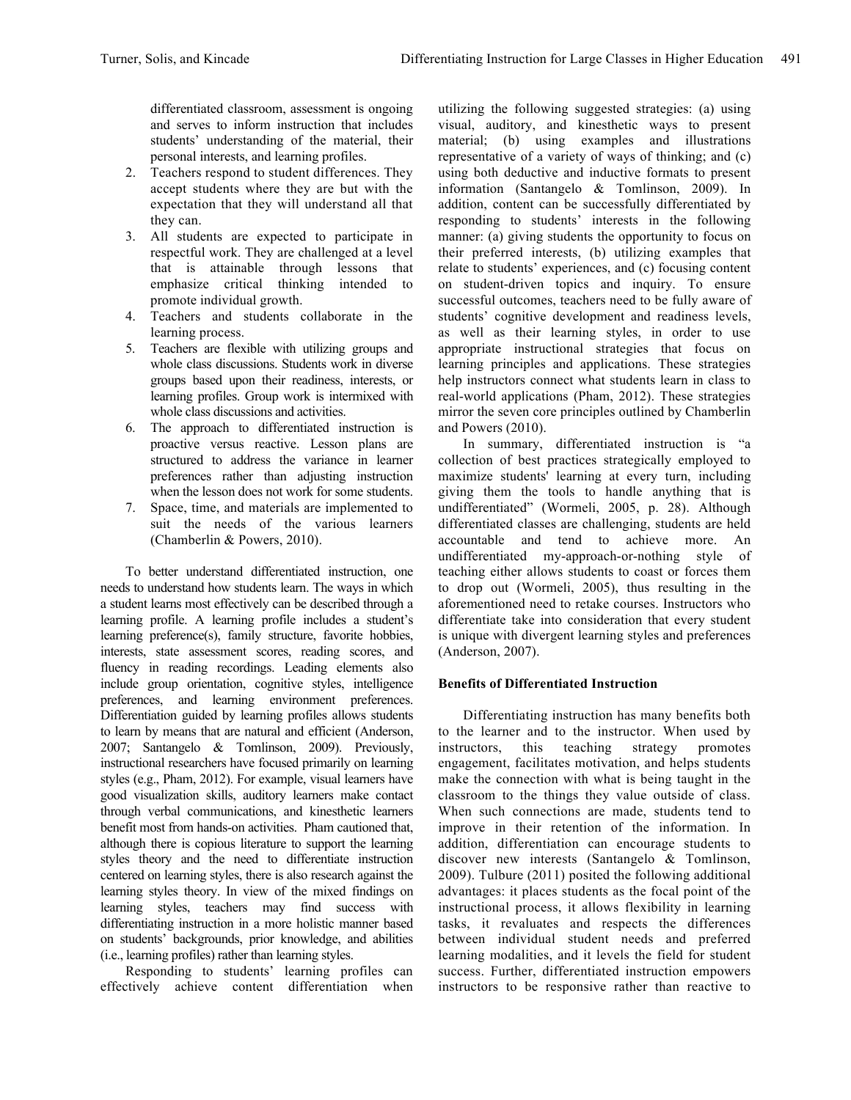differentiated classroom, assessment is ongoing and serves to inform instruction that includes students' understanding of the material, their personal interests, and learning profiles.

- 2. Teachers respond to student differences. They accept students where they are but with the expectation that they will understand all that they can.
- 3. All students are expected to participate in respectful work. They are challenged at a level that is attainable through lessons that emphasize critical thinking intended to promote individual growth.
- 4. Teachers and students collaborate in the learning process.
- 5. Teachers are flexible with utilizing groups and whole class discussions. Students work in diverse groups based upon their readiness, interests, or learning profiles. Group work is intermixed with whole class discussions and activities.
- 6. The approach to differentiated instruction is proactive versus reactive. Lesson plans are structured to address the variance in learner preferences rather than adjusting instruction when the lesson does not work for some students.
- 7. Space, time, and materials are implemented to suit the needs of the various learners (Chamberlin & Powers, 2010).

To better understand differentiated instruction, one needs to understand how students learn. The ways in which a student learns most effectively can be described through a learning profile. A learning profile includes a student's learning preference(s), family structure, favorite hobbies, interests, state assessment scores, reading scores, and fluency in reading recordings. Leading elements also include group orientation, cognitive styles, intelligence preferences, and learning environment preferences. Differentiation guided by learning profiles allows students to learn by means that are natural and efficient (Anderson, 2007; Santangelo & Tomlinson, 2009). Previously, instructional researchers have focused primarily on learning styles (e.g., Pham, 2012). For example, visual learners have good visualization skills, auditory learners make contact through verbal communications, and kinesthetic learners benefit most from hands-on activities. Pham cautioned that, although there is copious literature to support the learning styles theory and the need to differentiate instruction centered on learning styles, there is also research against the learning styles theory. In view of the mixed findings on learning styles, teachers may find success with differentiating instruction in a more holistic manner based on students' backgrounds, prior knowledge, and abilities (i.e., learning profiles) rather than learning styles.

Responding to students' learning profiles can effectively achieve content differentiation when utilizing the following suggested strategies: (a) using visual, auditory, and kinesthetic ways to present material; (b) using examples and illustrations representative of a variety of ways of thinking; and (c) using both deductive and inductive formats to present information (Santangelo & Tomlinson, 2009). In addition, content can be successfully differentiated by responding to students' interests in the following manner: (a) giving students the opportunity to focus on their preferred interests, (b) utilizing examples that relate to students' experiences, and (c) focusing content on student-driven topics and inquiry. To ensure successful outcomes, teachers need to be fully aware of students' cognitive development and readiness levels, as well as their learning styles, in order to use appropriate instructional strategies that focus on learning principles and applications. These strategies help instructors connect what students learn in class to real-world applications (Pham, 2012). These strategies mirror the seven core principles outlined by Chamberlin and Powers (2010).

In summary, differentiated instruction is "a collection of best practices strategically employed to maximize students' learning at every turn, including giving them the tools to handle anything that is undifferentiated" (Wormeli, 2005, p. 28). Although differentiated classes are challenging, students are held accountable and tend to achieve more. An undifferentiated my-approach-or-nothing style of teaching either allows students to coast or forces them to drop out (Wormeli, 2005), thus resulting in the aforementioned need to retake courses. Instructors who differentiate take into consideration that every student is unique with divergent learning styles and preferences (Anderson, 2007).

# **Benefits of Differentiated Instruction**

Differentiating instruction has many benefits both to the learner and to the instructor. When used by instructors, this teaching strategy promotes engagement, facilitates motivation, and helps students make the connection with what is being taught in the classroom to the things they value outside of class. When such connections are made, students tend to improve in their retention of the information. In addition, differentiation can encourage students to discover new interests (Santangelo & Tomlinson, 2009). Tulbure (2011) posited the following additional advantages: it places students as the focal point of the instructional process, it allows flexibility in learning tasks, it revaluates and respects the differences between individual student needs and preferred learning modalities, and it levels the field for student success. Further, differentiated instruction empowers instructors to be responsive rather than reactive to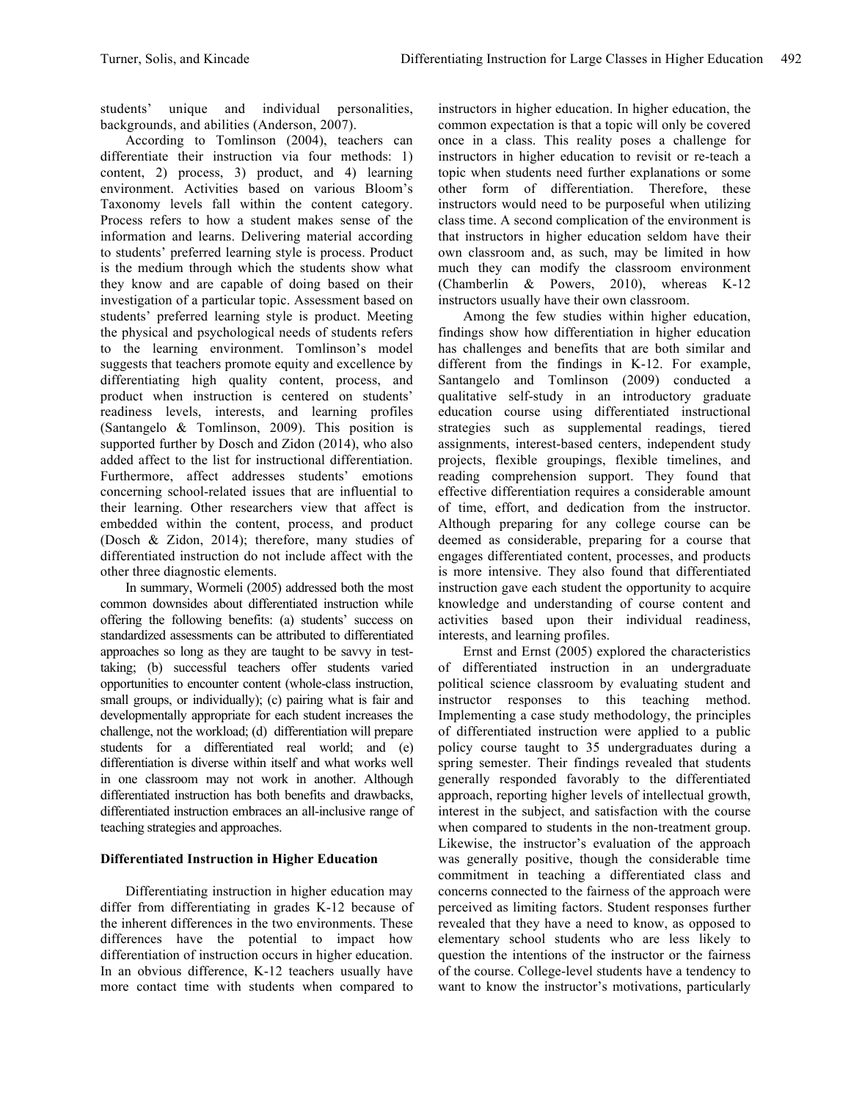students' unique and individual personalities, backgrounds, and abilities (Anderson, 2007).

According to Tomlinson (2004), teachers can differentiate their instruction via four methods: 1) content, 2) process, 3) product, and 4) learning environment. Activities based on various Bloom's Taxonomy levels fall within the content category. Process refers to how a student makes sense of the information and learns. Delivering material according to students' preferred learning style is process. Product is the medium through which the students show what they know and are capable of doing based on their investigation of a particular topic. Assessment based on students' preferred learning style is product. Meeting the physical and psychological needs of students refers to the learning environment. Tomlinson's model suggests that teachers promote equity and excellence by differentiating high quality content, process, and product when instruction is centered on students' readiness levels, interests, and learning profiles (Santangelo & Tomlinson, 2009). This position is supported further by Dosch and Zidon (2014), who also added affect to the list for instructional differentiation. Furthermore, affect addresses students' emotions concerning school-related issues that are influential to their learning. Other researchers view that affect is embedded within the content, process, and product (Dosch & Zidon, 2014); therefore, many studies of differentiated instruction do not include affect with the other three diagnostic elements.

In summary, Wormeli (2005) addressed both the most common downsides about differentiated instruction while offering the following benefits: (a) students' success on standardized assessments can be attributed to differentiated approaches so long as they are taught to be savvy in testtaking; (b) successful teachers offer students varied opportunities to encounter content (whole-class instruction, small groups, or individually); (c) pairing what is fair and developmentally appropriate for each student increases the challenge, not the workload; (d) differentiation will prepare students for a differentiated real world; and (e) differentiation is diverse within itself and what works well in one classroom may not work in another. Although differentiated instruction has both benefits and drawbacks, differentiated instruction embraces an all-inclusive range of teaching strategies and approaches.

## **Differentiated Instruction in Higher Education**

Differentiating instruction in higher education may differ from differentiating in grades K-12 because of the inherent differences in the two environments. These differences have the potential to impact how differentiation of instruction occurs in higher education. In an obvious difference, K-12 teachers usually have more contact time with students when compared to

instructors in higher education. In higher education, the common expectation is that a topic will only be covered once in a class. This reality poses a challenge for instructors in higher education to revisit or re-teach a topic when students need further explanations or some other form of differentiation. Therefore, these instructors would need to be purposeful when utilizing class time. A second complication of the environment is that instructors in higher education seldom have their own classroom and, as such, may be limited in how much they can modify the classroom environment (Chamberlin & Powers, 2010), whereas K-12 instructors usually have their own classroom.

Among the few studies within higher education, findings show how differentiation in higher education has challenges and benefits that are both similar and different from the findings in K-12. For example, Santangelo and Tomlinson (2009) conducted a qualitative self-study in an introductory graduate education course using differentiated instructional strategies such as supplemental readings, tiered assignments, interest-based centers, independent study projects, flexible groupings, flexible timelines, and reading comprehension support. They found that effective differentiation requires a considerable amount of time, effort, and dedication from the instructor. Although preparing for any college course can be deemed as considerable, preparing for a course that engages differentiated content, processes, and products is more intensive. They also found that differentiated instruction gave each student the opportunity to acquire knowledge and understanding of course content and activities based upon their individual readiness, interests, and learning profiles.

Ernst and Ernst (2005) explored the characteristics of differentiated instruction in an undergraduate political science classroom by evaluating student and instructor responses to this teaching method. Implementing a case study methodology, the principles of differentiated instruction were applied to a public policy course taught to 35 undergraduates during a spring semester. Their findings revealed that students generally responded favorably to the differentiated approach, reporting higher levels of intellectual growth, interest in the subject, and satisfaction with the course when compared to students in the non-treatment group. Likewise, the instructor's evaluation of the approach was generally positive, though the considerable time commitment in teaching a differentiated class and concerns connected to the fairness of the approach were perceived as limiting factors. Student responses further revealed that they have a need to know, as opposed to elementary school students who are less likely to question the intentions of the instructor or the fairness of the course. College-level students have a tendency to want to know the instructor's motivations, particularly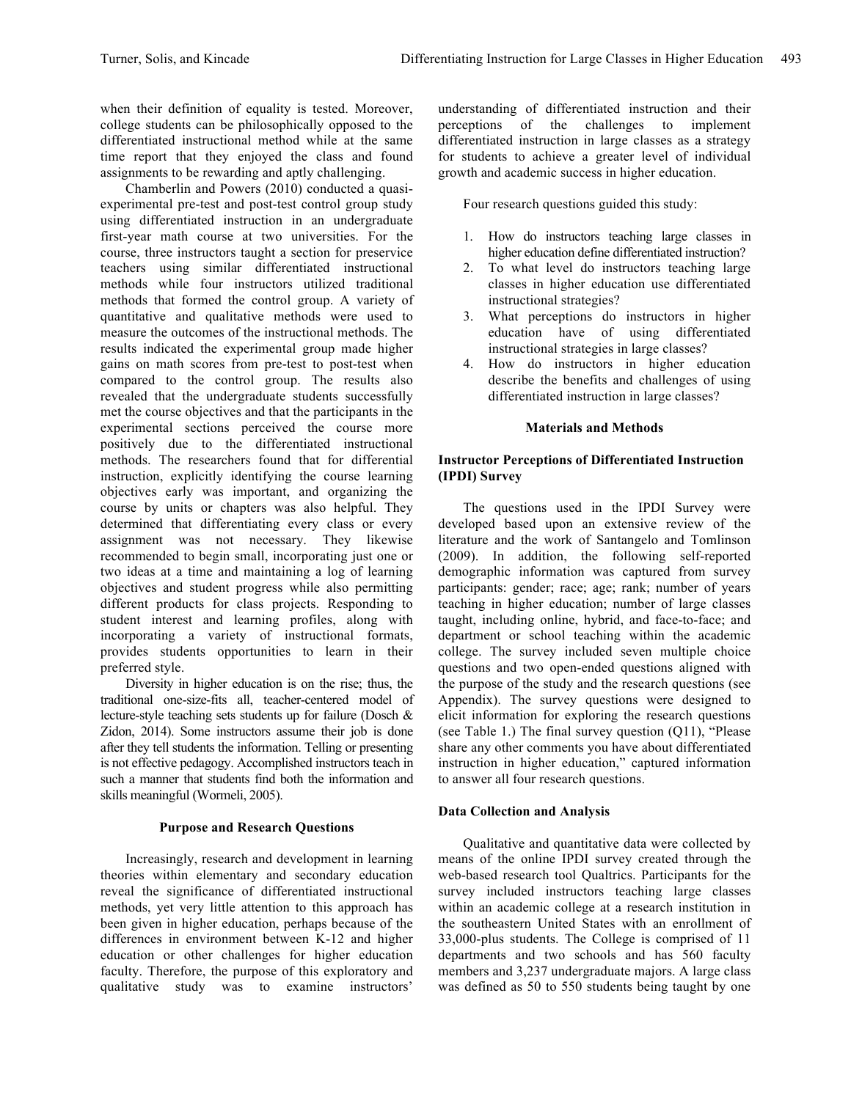when their definition of equality is tested. Moreover, college students can be philosophically opposed to the differentiated instructional method while at the same time report that they enjoyed the class and found assignments to be rewarding and aptly challenging.

Chamberlin and Powers (2010) conducted a quasiexperimental pre-test and post-test control group study using differentiated instruction in an undergraduate first-year math course at two universities. For the course, three instructors taught a section for preservice teachers using similar differentiated instructional methods while four instructors utilized traditional methods that formed the control group. A variety of quantitative and qualitative methods were used to measure the outcomes of the instructional methods. The results indicated the experimental group made higher gains on math scores from pre-test to post-test when compared to the control group. The results also revealed that the undergraduate students successfully met the course objectives and that the participants in the experimental sections perceived the course more positively due to the differentiated instructional methods. The researchers found that for differential instruction, explicitly identifying the course learning objectives early was important, and organizing the course by units or chapters was also helpful. They determined that differentiating every class or every assignment was not necessary. They likewise recommended to begin small, incorporating just one or two ideas at a time and maintaining a log of learning objectives and student progress while also permitting different products for class projects. Responding to student interest and learning profiles, along with incorporating a variety of instructional formats, provides students opportunities to learn in their preferred style.

Diversity in higher education is on the rise; thus, the traditional one-size-fits all, teacher-centered model of lecture-style teaching sets students up for failure (Dosch & Zidon, 2014). Some instructors assume their job is done after they tell students the information. Telling or presenting is not effective pedagogy. Accomplished instructors teach in such a manner that students find both the information and skills meaningful (Wormeli, 2005).

## **Purpose and Research Questions**

Increasingly, research and development in learning theories within elementary and secondary education reveal the significance of differentiated instructional methods, yet very little attention to this approach has been given in higher education, perhaps because of the differences in environment between K-12 and higher education or other challenges for higher education faculty. Therefore, the purpose of this exploratory and qualitative study was to examine instructors'

understanding of differentiated instruction and their perceptions of the challenges to implement differentiated instruction in large classes as a strategy for students to achieve a greater level of individual growth and academic success in higher education.

Four research questions guided this study:

- 1. How do instructors teaching large classes in higher education define differentiated instruction?
- 2. To what level do instructors teaching large classes in higher education use differentiated instructional strategies?
- 3. What perceptions do instructors in higher education have of using differentiated instructional strategies in large classes?
- 4. How do instructors in higher education describe the benefits and challenges of using differentiated instruction in large classes?

## **Materials and Methods**

#### **Instructor Perceptions of Differentiated Instruction (IPDI) Survey**

The questions used in the IPDI Survey were developed based upon an extensive review of the literature and the work of Santangelo and Tomlinson (2009). In addition, the following self-reported demographic information was captured from survey participants: gender; race; age; rank; number of years teaching in higher education; number of large classes taught, including online, hybrid, and face-to-face; and department or school teaching within the academic college. The survey included seven multiple choice questions and two open-ended questions aligned with the purpose of the study and the research questions (see Appendix). The survey questions were designed to elicit information for exploring the research questions (see Table 1.) The final survey question (Q11), "Please share any other comments you have about differentiated instruction in higher education," captured information to answer all four research questions.

## **Data Collection and Analysis**

Qualitative and quantitative data were collected by means of the online IPDI survey created through the web-based research tool Qualtrics. Participants for the survey included instructors teaching large classes within an academic college at a research institution in the southeastern United States with an enrollment of 33,000-plus students. The College is comprised of 11 departments and two schools and has 560 faculty members and 3,237 undergraduate majors. A large class was defined as 50 to 550 students being taught by one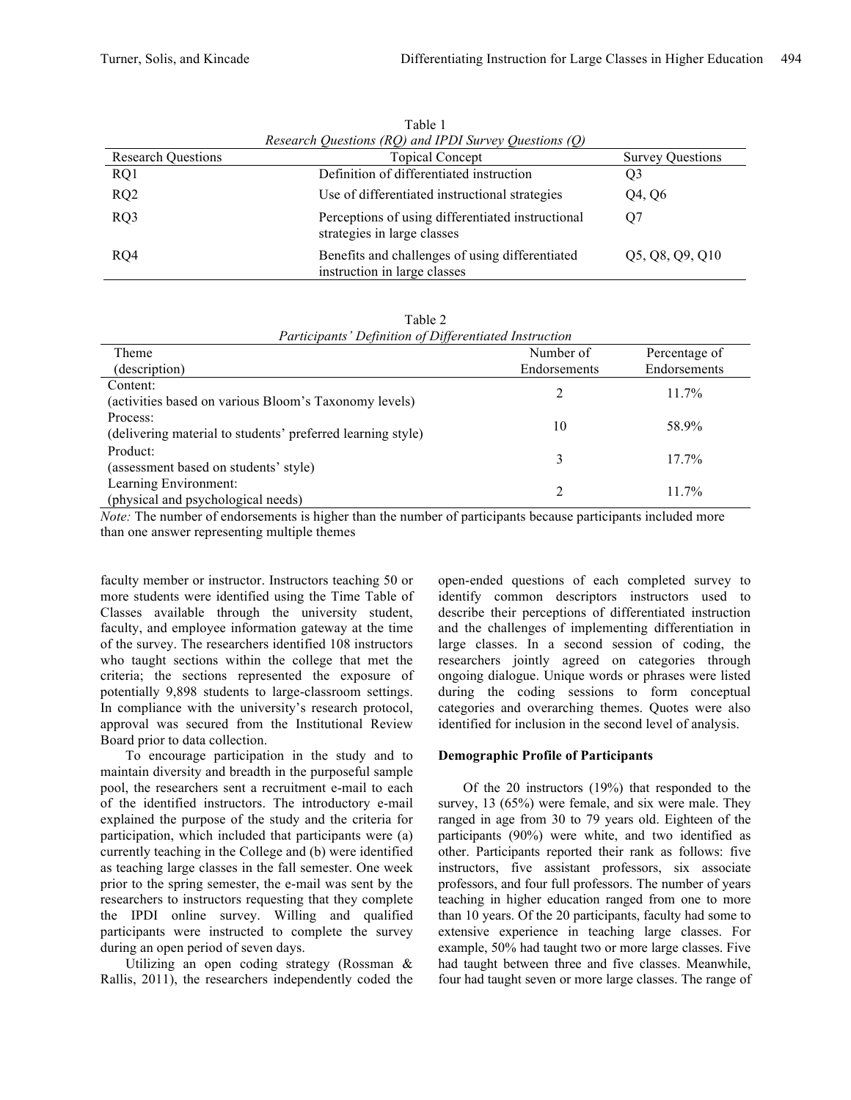| Research Questions (RQ) and IPDI Survey Questions (Q) |                                                                                  |                         |
|-------------------------------------------------------|----------------------------------------------------------------------------------|-------------------------|
| <b>Research Questions</b>                             | <b>Topical Concept</b>                                                           | <b>Survey Questions</b> |
| RQ1                                                   | Definition of differentiated instruction                                         | Q3                      |
| RQ2                                                   | Use of differentiated instructional strategies                                   | Q4, Q6                  |
| RQ3                                                   | Perceptions of using differentiated instructional<br>strategies in large classes | O7                      |
| RQ4                                                   | Benefits and challenges of using differentiated<br>instruction in large classes  | Q5, Q8, Q9, Q10         |

Table 1

| Table 2 |                                                        |  |
|---------|--------------------------------------------------------|--|
|         | Participants' Definition of Differentiated Instruction |  |

| Theme                                                       | Number of    | Percentage of |
|-------------------------------------------------------------|--------------|---------------|
| (description)                                               | Endorsements | Endorsements  |
| Content:                                                    | 2            | $11.7\%$      |
| (activities based on various Bloom's Taxonomy levels)       |              |               |
| Process:                                                    | 10           | 58.9%         |
| (delivering material to students' preferred learning style) |              |               |
| Product:                                                    | 3            | $17.7\%$      |
| (assessment based on students' style)                       |              |               |
| Learning Environment:                                       |              | $11.7\%$      |
| (physical and psychological needs)                          |              |               |

*Note:* The number of endorsements is higher than the number of participants because participants included more than one answer representing multiple themes

faculty member or instructor. Instructors teaching 50 or more students were identified using the Time Table of Classes available through the university student, faculty, and employee information gateway at the time of the survey. The researchers identified 108 instructors who taught sections within the college that met the criteria; the sections represented the exposure of potentially 9,898 students to large-classroom settings. In compliance with the university's research protocol, approval was secured from the Institutional Review Board prior to data collection.

To encourage participation in the study and to maintain diversity and breadth in the purposeful sample pool, the researchers sent a recruitment e-mail to each of the identified instructors. The introductory e-mail explained the purpose of the study and the criteria for participation, which included that participants were (a) currently teaching in the College and (b) were identified as teaching large classes in the fall semester. One week prior to the spring semester, the e-mail was sent by the researchers to instructors requesting that they complete the IPDI online survey. Willing and qualified participants were instructed to complete the survey during an open period of seven days.

Utilizing an open coding strategy (Rossman & Rallis, 2011), the researchers independently coded the open-ended questions of each completed survey to identify common descriptors instructors used to describe their perceptions of differentiated instruction and the challenges of implementing differentiation in large classes. In a second session of coding, the researchers jointly agreed on categories through ongoing dialogue. Unique words or phrases were listed during the coding sessions to form conceptual categories and overarching themes. Quotes were also identified for inclusion in the second level of analysis.

#### **Demographic Profile of Participants**

Of the 20 instructors (19%) that responded to the survey, 13 (65%) were female, and six were male. They ranged in age from 30 to 79 years old. Eighteen of the participants (90%) were white, and two identified as other. Participants reported their rank as follows: five instructors, five assistant professors, six associate professors, and four full professors. The number of years teaching in higher education ranged from one to more than 10 years. Of the 20 participants, faculty had some to extensive experience in teaching large classes. For example, 50% had taught two or more large classes. Five had taught between three and five classes. Meanwhile, four had taught seven or more large classes. The range of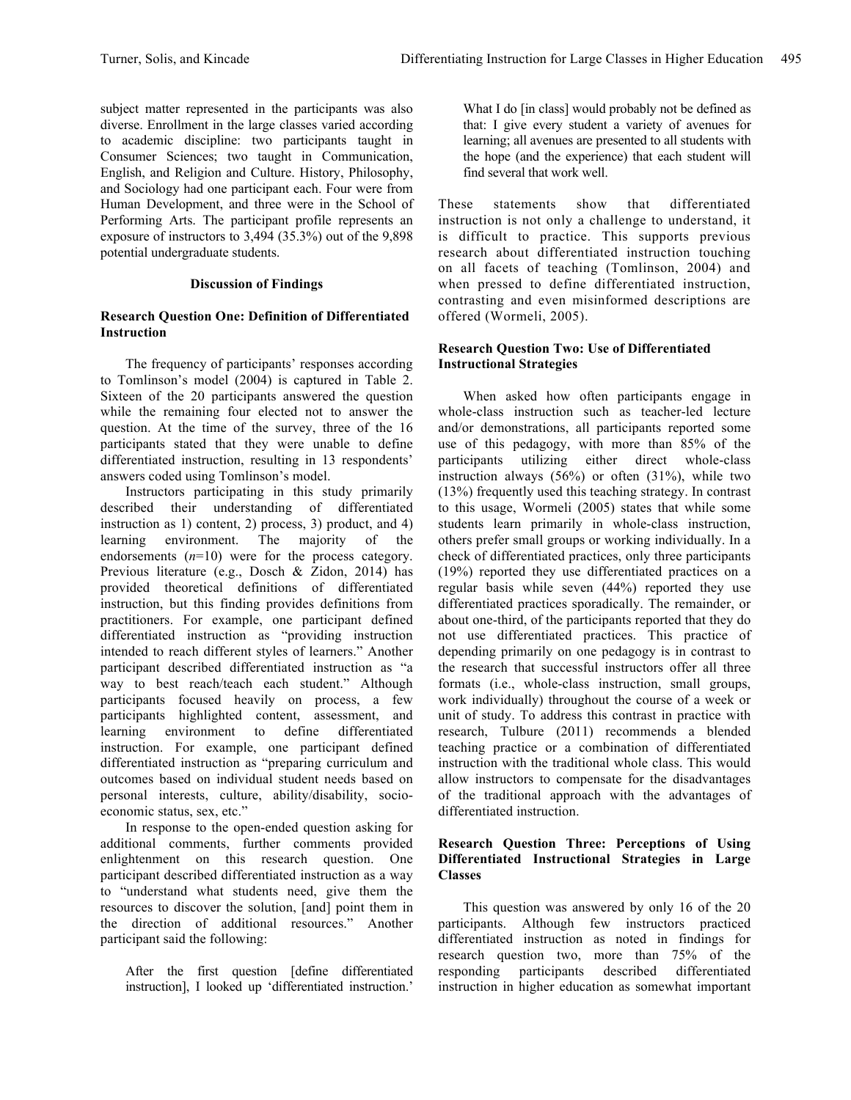subject matter represented in the participants was also diverse. Enrollment in the large classes varied according to academic discipline: two participants taught in Consumer Sciences; two taught in Communication, English, and Religion and Culture. History, Philosophy, and Sociology had one participant each. Four were from Human Development, and three were in the School of Performing Arts. The participant profile represents an exposure of instructors to 3,494 (35.3%) out of the 9,898 potential undergraduate students.

## **Discussion of Findings**

#### **Research Question One: Definition of Differentiated Instruction**

The frequency of participants' responses according to Tomlinson's model (2004) is captured in Table 2. Sixteen of the 20 participants answered the question while the remaining four elected not to answer the question. At the time of the survey, three of the 16 participants stated that they were unable to define differentiated instruction, resulting in 13 respondents' answers coded using Tomlinson's model.

Instructors participating in this study primarily described their understanding of differentiated instruction as 1) content, 2) process, 3) product, and 4) learning environment. The majority of the endorsements  $(n=10)$  were for the process category. Previous literature (e.g., Dosch & Zidon, 2014) has provided theoretical definitions of differentiated instruction, but this finding provides definitions from practitioners. For example, one participant defined differentiated instruction as "providing instruction intended to reach different styles of learners." Another participant described differentiated instruction as "a way to best reach/teach each student." Although participants focused heavily on process, a few participants highlighted content, assessment, and learning environment to define differentiated instruction. For example, one participant defined differentiated instruction as "preparing curriculum and outcomes based on individual student needs based on personal interests, culture, ability/disability, socioeconomic status, sex, etc."

In response to the open-ended question asking for additional comments, further comments provided enlightenment on this research question. One participant described differentiated instruction as a way to "understand what students need, give them the resources to discover the solution, [and] point them in the direction of additional resources." Another participant said the following:

After the first question [define differentiated instruction], I looked up 'differentiated instruction.'

What I do [in class] would probably not be defined as that: I give every student a variety of avenues for learning; all avenues are presented to all students with the hope (and the experience) that each student will find several that work well.

These statements show that differentiated instruction is not only a challenge to understand, it is difficult to practice. This supports previous research about differentiated instruction touching on all facets of teaching (Tomlinson, 2004) and when pressed to define differentiated instruction, contrasting and even misinformed descriptions are offered (Wormeli, 2005).

#### **Research Question Two: Use of Differentiated Instructional Strategies**

When asked how often participants engage in whole-class instruction such as teacher-led lecture and/or demonstrations, all participants reported some use of this pedagogy, with more than 85% of the participants utilizing either direct whole-class instruction always  $(56%)$  or often  $(31%)$ , while two (13%) frequently used this teaching strategy. In contrast to this usage, Wormeli (2005) states that while some students learn primarily in whole-class instruction, others prefer small groups or working individually. In a check of differentiated practices, only three participants (19%) reported they use differentiated practices on a regular basis while seven (44%) reported they use differentiated practices sporadically. The remainder, or about one-third, of the participants reported that they do not use differentiated practices. This practice of depending primarily on one pedagogy is in contrast to the research that successful instructors offer all three formats (i.e., whole-class instruction, small groups, work individually) throughout the course of a week or unit of study. To address this contrast in practice with research, Tulbure (2011) recommends a blended teaching practice or a combination of differentiated instruction with the traditional whole class. This would allow instructors to compensate for the disadvantages of the traditional approach with the advantages of differentiated instruction.

## **Research Question Three: Perceptions of Using Differentiated Instructional Strategies in Large Classes**

This question was answered by only 16 of the 20 participants. Although few instructors practiced differentiated instruction as noted in findings for research question two, more than 75% of the responding participants described differentiated instruction in higher education as somewhat important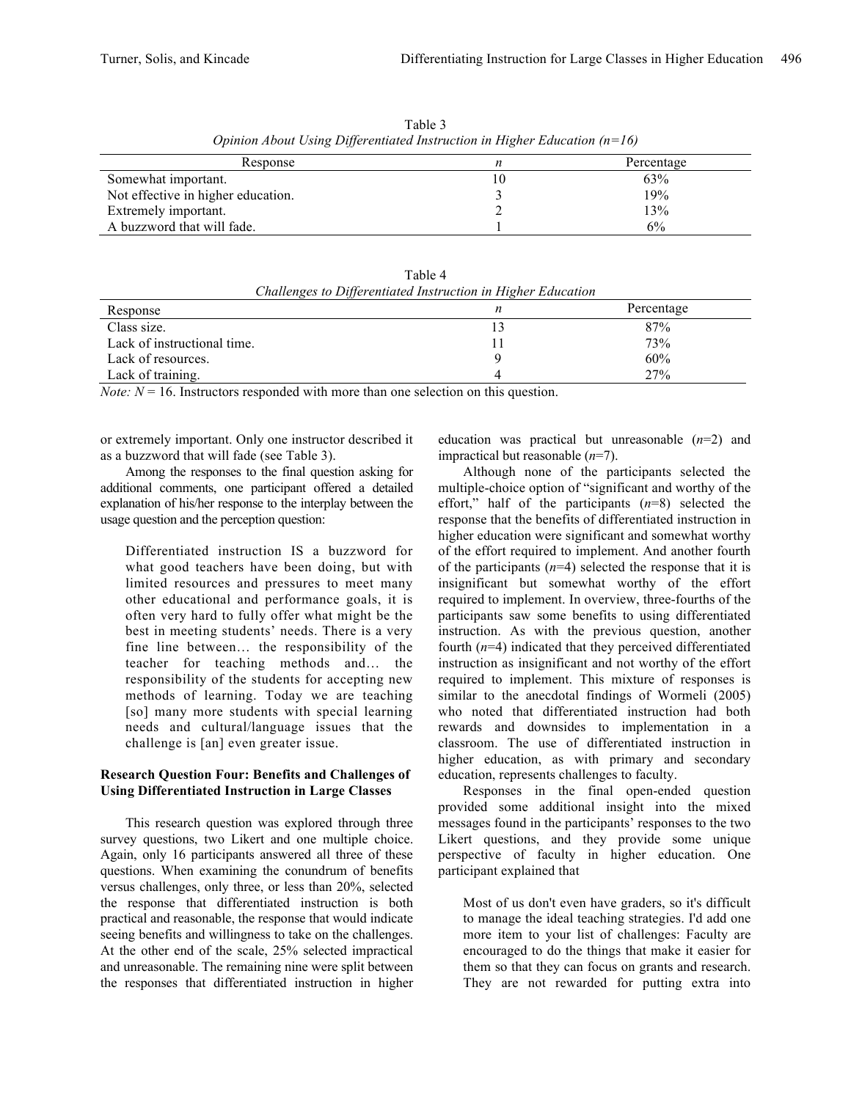| Opinion About Using Differentialed Instruction in Higher Education $(n=10)$ |    |            |  |
|-----------------------------------------------------------------------------|----|------------|--|
| Response                                                                    |    | Percentage |  |
| Somewhat important.                                                         | 10 | 63%        |  |
| Not effective in higher education.                                          |    | 19%        |  |
| Extremely important.                                                        |    | 13%        |  |
| A buzzword that will fade.                                                  |    | 6%         |  |

Table 3 *Opinion About Using Differentiated Instruction in Higher Education (n=16)*

| Table 4                                                      |
|--------------------------------------------------------------|
| Challenges to Differentiated Instruction in Higher Education |

| Response                    | Percentage |
|-----------------------------|------------|
| Class size.                 | 87%        |
| Lack of instructional time. | 73%        |
| Lack of resources.          | 60%        |
| Lack of training.           | 27%        |

*Note:*  $N = 16$ . Instructors responded with more than one selection on this question.

or extremely important. Only one instructor described it as a buzzword that will fade (see Table 3).

Among the responses to the final question asking for additional comments, one participant offered a detailed explanation of his/her response to the interplay between the usage question and the perception question:

Differentiated instruction IS a buzzword for what good teachers have been doing, but with limited resources and pressures to meet many other educational and performance goals, it is often very hard to fully offer what might be the best in meeting students' needs. There is a very fine line between… the responsibility of the teacher for teaching methods and… the responsibility of the students for accepting new methods of learning. Today we are teaching [so] many more students with special learning needs and cultural/language issues that the challenge is [an] even greater issue.

## **Research Question Four: Benefits and Challenges of Using Differentiated Instruction in Large Classes**

This research question was explored through three survey questions, two Likert and one multiple choice. Again, only 16 participants answered all three of these questions. When examining the conundrum of benefits versus challenges, only three, or less than 20%, selected the response that differentiated instruction is both practical and reasonable, the response that would indicate seeing benefits and willingness to take on the challenges. At the other end of the scale, 25% selected impractical and unreasonable. The remaining nine were split between the responses that differentiated instruction in higher education was practical but unreasonable (*n*=2) and impractical but reasonable (*n*=7).

Although none of the participants selected the multiple-choice option of "significant and worthy of the effort," half of the participants (*n*=8) selected the response that the benefits of differentiated instruction in higher education were significant and somewhat worthy of the effort required to implement. And another fourth of the participants  $(n=4)$  selected the response that it is insignificant but somewhat worthy of the effort required to implement. In overview, three-fourths of the participants saw some benefits to using differentiated instruction. As with the previous question, another fourth  $(n=4)$  indicated that they perceived differentiated instruction as insignificant and not worthy of the effort required to implement. This mixture of responses is similar to the anecdotal findings of Wormeli (2005) who noted that differentiated instruction had both rewards and downsides to implementation in a classroom. The use of differentiated instruction in higher education, as with primary and secondary education, represents challenges to faculty.

Responses in the final open-ended question provided some additional insight into the mixed messages found in the participants' responses to the two Likert questions, and they provide some unique perspective of faculty in higher education. One participant explained that

Most of us don't even have graders, so it's difficult to manage the ideal teaching strategies. I'd add one more item to your list of challenges: Faculty are encouraged to do the things that make it easier for them so that they can focus on grants and research. They are not rewarded for putting extra into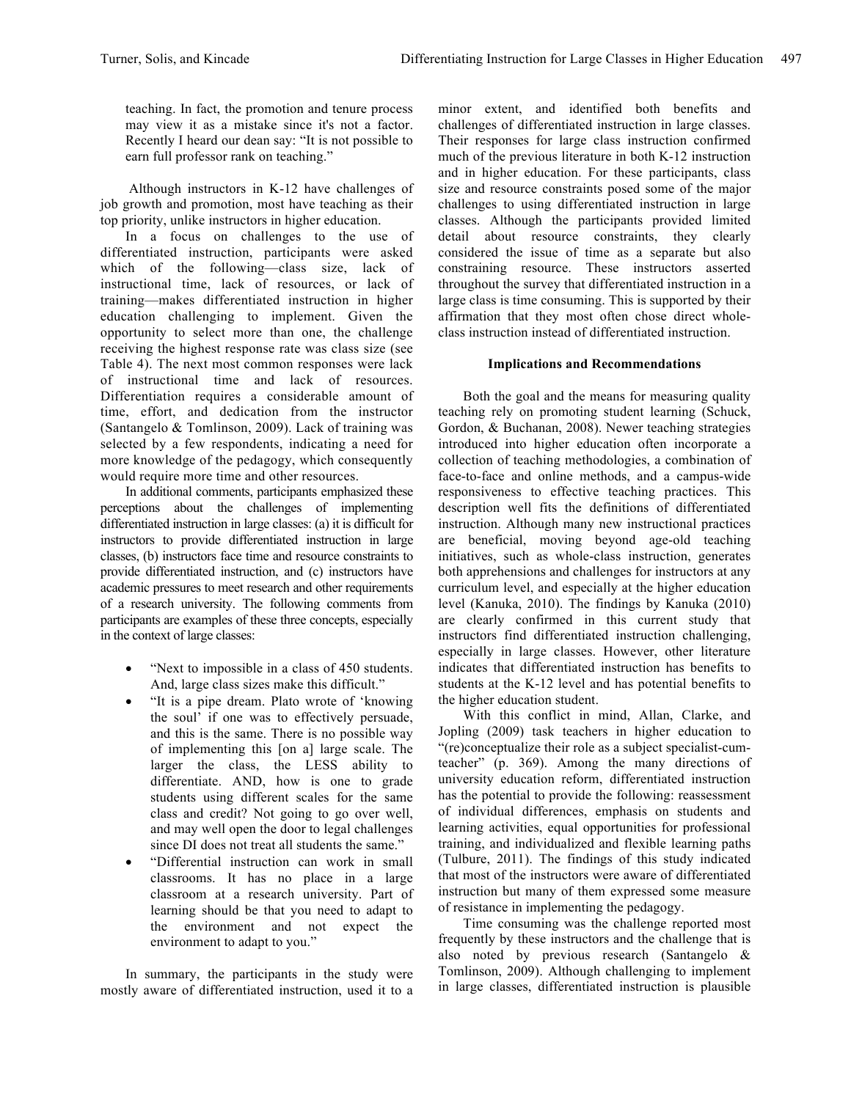teaching. In fact, the promotion and tenure process may view it as a mistake since it's not a factor. Recently I heard our dean say: "It is not possible to earn full professor rank on teaching."

Although instructors in K-12 have challenges of job growth and promotion, most have teaching as their top priority, unlike instructors in higher education.

In a focus on challenges to the use of differentiated instruction, participants were asked which of the following—class size, lack of instructional time, lack of resources, or lack of training—makes differentiated instruction in higher education challenging to implement. Given the opportunity to select more than one, the challenge receiving the highest response rate was class size (see Table 4). The next most common responses were lack of instructional time and lack of resources. Differentiation requires a considerable amount of time, effort, and dedication from the instructor (Santangelo & Tomlinson, 2009). Lack of training was selected by a few respondents, indicating a need for more knowledge of the pedagogy, which consequently would require more time and other resources.

In additional comments, participants emphasized these perceptions about the challenges of implementing differentiated instruction in large classes: (a) it is difficult for instructors to provide differentiated instruction in large classes, (b) instructors face time and resource constraints to provide differentiated instruction, and (c) instructors have academic pressures to meet research and other requirements of a research university. The following comments from participants are examples of these three concepts, especially in the context of large classes:

- "Next to impossible in a class of 450 students. And, large class sizes make this difficult."
- "It is a pipe dream. Plato wrote of 'knowing the soul' if one was to effectively persuade, and this is the same. There is no possible way of implementing this [on a] large scale. The larger the class, the LESS ability to differentiate. AND, how is one to grade students using different scales for the same class and credit? Not going to go over well, and may well open the door to legal challenges since DI does not treat all students the same."
- "Differential instruction can work in small classrooms. It has no place in a large classroom at a research university. Part of learning should be that you need to adapt to the environment and not expect the environment to adapt to you."

In summary, the participants in the study were mostly aware of differentiated instruction, used it to a minor extent, and identified both benefits and challenges of differentiated instruction in large classes. Their responses for large class instruction confirmed much of the previous literature in both K-12 instruction and in higher education. For these participants, class size and resource constraints posed some of the major challenges to using differentiated instruction in large classes. Although the participants provided limited detail about resource constraints, they clearly considered the issue of time as a separate but also constraining resource. These instructors asserted throughout the survey that differentiated instruction in a large class is time consuming. This is supported by their affirmation that they most often chose direct wholeclass instruction instead of differentiated instruction.

# **Implications and Recommendations**

Both the goal and the means for measuring quality teaching rely on promoting student learning (Schuck, Gordon, & Buchanan, 2008). Newer teaching strategies introduced into higher education often incorporate a collection of teaching methodologies, a combination of face-to-face and online methods, and a campus-wide responsiveness to effective teaching practices. This description well fits the definitions of differentiated instruction. Although many new instructional practices are beneficial, moving beyond age-old teaching initiatives, such as whole-class instruction, generates both apprehensions and challenges for instructors at any curriculum level, and especially at the higher education level (Kanuka, 2010). The findings by Kanuka (2010) are clearly confirmed in this current study that instructors find differentiated instruction challenging, especially in large classes. However, other literature indicates that differentiated instruction has benefits to students at the K-12 level and has potential benefits to the higher education student.

With this conflict in mind, Allan, Clarke, and Jopling (2009) task teachers in higher education to "(re)conceptualize their role as a subject specialist-cumteacher" (p. 369). Among the many directions of university education reform, differentiated instruction has the potential to provide the following: reassessment of individual differences, emphasis on students and learning activities, equal opportunities for professional training, and individualized and flexible learning paths (Tulbure, 2011). The findings of this study indicated that most of the instructors were aware of differentiated instruction but many of them expressed some measure of resistance in implementing the pedagogy.

Time consuming was the challenge reported most frequently by these instructors and the challenge that is also noted by previous research (Santangelo & Tomlinson, 2009). Although challenging to implement in large classes, differentiated instruction is plausible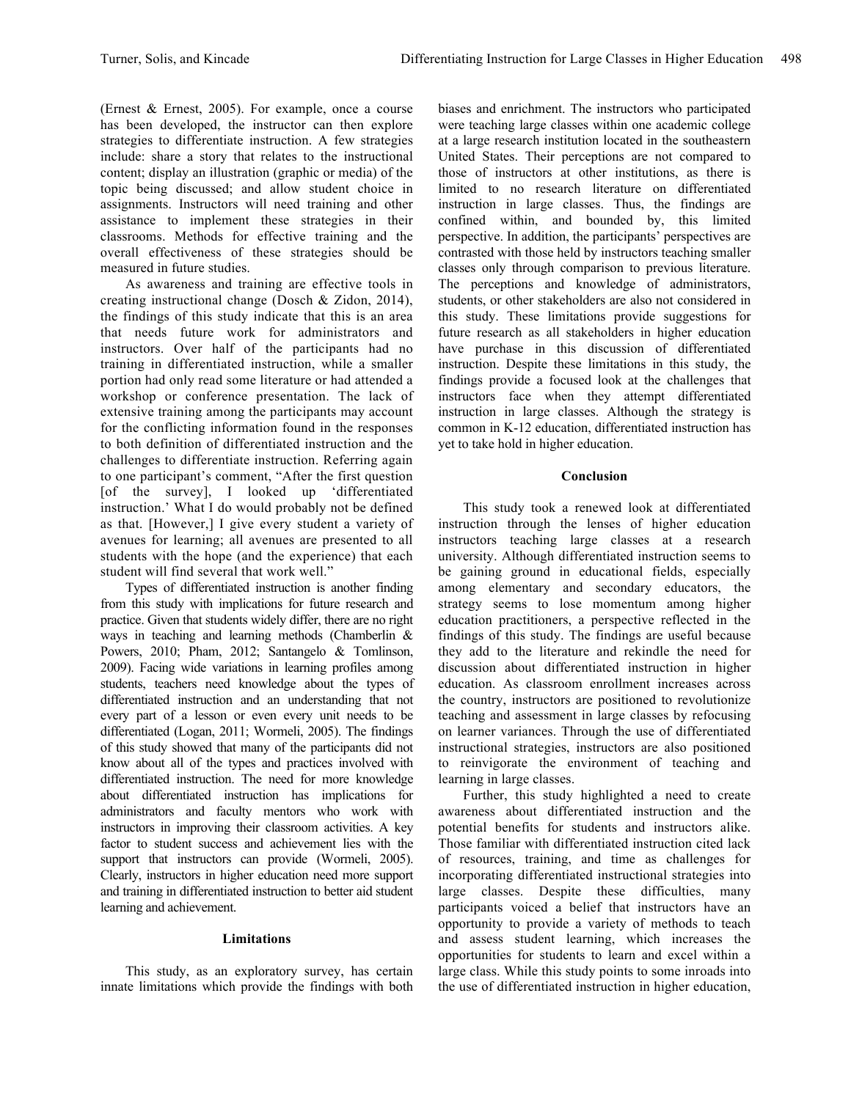(Ernest & Ernest, 2005). For example, once a course has been developed, the instructor can then explore strategies to differentiate instruction. A few strategies include: share a story that relates to the instructional content; display an illustration (graphic or media) of the topic being discussed; and allow student choice in assignments. Instructors will need training and other assistance to implement these strategies in their classrooms. Methods for effective training and the overall effectiveness of these strategies should be measured in future studies.

As awareness and training are effective tools in creating instructional change (Dosch & Zidon, 2014), the findings of this study indicate that this is an area that needs future work for administrators and instructors. Over half of the participants had no training in differentiated instruction, while a smaller portion had only read some literature or had attended a workshop or conference presentation. The lack of extensive training among the participants may account for the conflicting information found in the responses to both definition of differentiated instruction and the challenges to differentiate instruction. Referring again to one participant's comment, "After the first question [of the survey], I looked up 'differentiated instruction.' What I do would probably not be defined as that. [However,] I give every student a variety of avenues for learning; all avenues are presented to all students with the hope (and the experience) that each student will find several that work well."

Types of differentiated instruction is another finding from this study with implications for future research and practice. Given that students widely differ, there are no right ways in teaching and learning methods (Chamberlin & Powers, 2010; Pham, 2012; Santangelo & Tomlinson, 2009). Facing wide variations in learning profiles among students, teachers need knowledge about the types of differentiated instruction and an understanding that not every part of a lesson or even every unit needs to be differentiated (Logan, 2011; Wormeli, 2005). The findings of this study showed that many of the participants did not know about all of the types and practices involved with differentiated instruction. The need for more knowledge about differentiated instruction has implications for administrators and faculty mentors who work with instructors in improving their classroom activities. A key factor to student success and achievement lies with the support that instructors can provide (Wormeli, 2005). Clearly, instructors in higher education need more support and training in differentiated instruction to better aid student learning and achievement.

## **Limitations**

This study, as an exploratory survey, has certain innate limitations which provide the findings with both biases and enrichment. The instructors who participated were teaching large classes within one academic college at a large research institution located in the southeastern United States. Their perceptions are not compared to those of instructors at other institutions, as there is limited to no research literature on differentiated instruction in large classes. Thus, the findings are confined within, and bounded by, this limited perspective. In addition, the participants' perspectives are contrasted with those held by instructors teaching smaller classes only through comparison to previous literature. The perceptions and knowledge of administrators, students, or other stakeholders are also not considered in this study. These limitations provide suggestions for future research as all stakeholders in higher education have purchase in this discussion of differentiated instruction. Despite these limitations in this study, the findings provide a focused look at the challenges that instructors face when they attempt differentiated instruction in large classes. Although the strategy is common in K-12 education, differentiated instruction has yet to take hold in higher education.

## **Conclusion**

This study took a renewed look at differentiated instruction through the lenses of higher education instructors teaching large classes at a research university. Although differentiated instruction seems to be gaining ground in educational fields, especially among elementary and secondary educators, the strategy seems to lose momentum among higher education practitioners, a perspective reflected in the findings of this study. The findings are useful because they add to the literature and rekindle the need for discussion about differentiated instruction in higher education. As classroom enrollment increases across the country, instructors are positioned to revolutionize teaching and assessment in large classes by refocusing on learner variances. Through the use of differentiated instructional strategies, instructors are also positioned to reinvigorate the environment of teaching and learning in large classes.

Further, this study highlighted a need to create awareness about differentiated instruction and the potential benefits for students and instructors alike. Those familiar with differentiated instruction cited lack of resources, training, and time as challenges for incorporating differentiated instructional strategies into large classes. Despite these difficulties, many participants voiced a belief that instructors have an opportunity to provide a variety of methods to teach and assess student learning, which increases the opportunities for students to learn and excel within a large class. While this study points to some inroads into the use of differentiated instruction in higher education,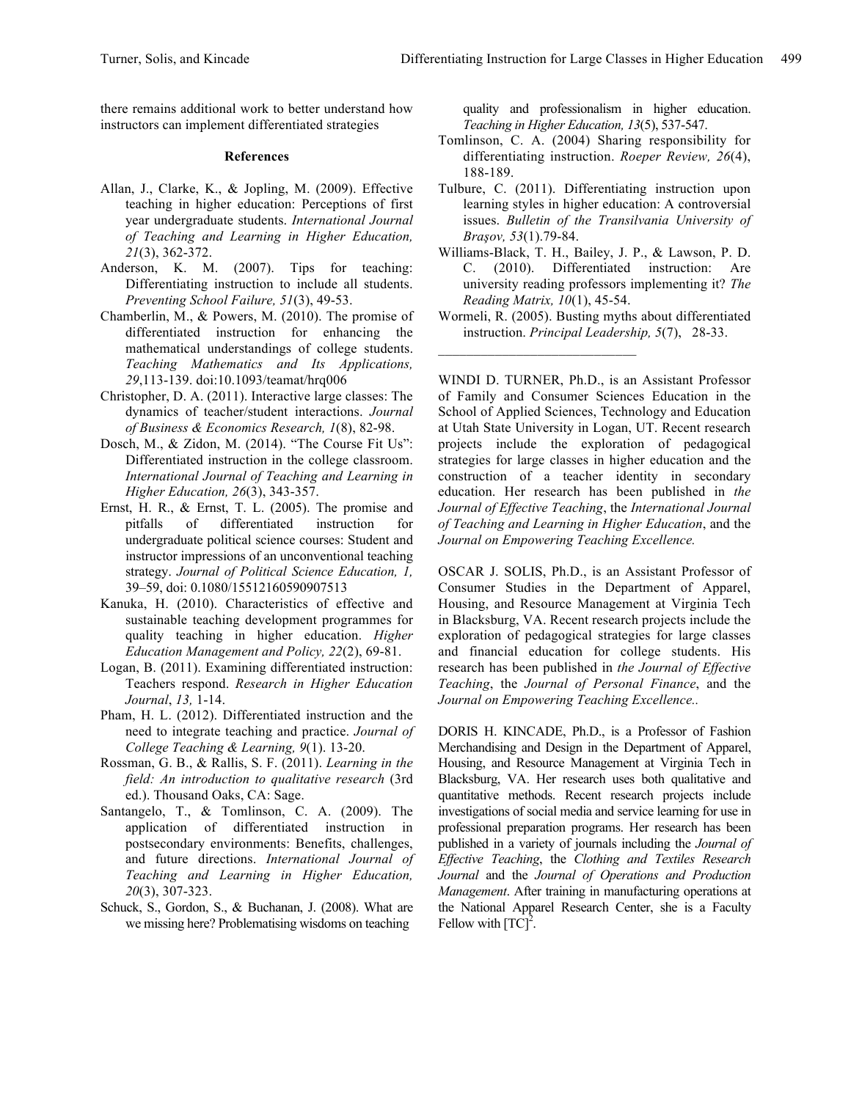there remains additional work to better understand how instructors can implement differentiated strategies

#### **References**

- Allan, J., Clarke, K., & Jopling, M. (2009). Effective teaching in higher education: Perceptions of first year undergraduate students. *International Journal of Teaching and Learning in Higher Education, 21*(3), 362-372.
- Anderson, K. M. (2007). Tips for teaching: Differentiating instruction to include all students. *Preventing School Failure, 51*(3), 49-53.
- Chamberlin, M., & Powers, M. (2010). The promise of differentiated instruction for enhancing the mathematical understandings of college students. *Teaching Mathematics and Its Applications, 29*,113-139. doi:10.1093/teamat/hrq006
- Christopher, D. A. (2011). Interactive large classes: The dynamics of teacher/student interactions. *Journal of Business & Economics Research, 1*(8), 82-98.
- Dosch, M., & Zidon, M. (2014). "The Course Fit Us": Differentiated instruction in the college classroom. *International Journal of Teaching and Learning in Higher Education, 26*(3), 343-357.
- Ernst, H. R., & Ernst, T. L. (2005). The promise and pitfalls of differentiated instruction for undergraduate political science courses: Student and instructor impressions of an unconventional teaching strategy. *Journal of Political Science Education, 1,* 39–59, doi: 0.1080/15512160590907513
- Kanuka, H. (2010). Characteristics of effective and sustainable teaching development programmes for quality teaching in higher education. *Higher Education Management and Policy, 22*(2), 69-81.
- Logan, B. (2011). Examining differentiated instruction: Teachers respond. *Research in Higher Education Journal*, *13,* 1-14.
- Pham, H. L. (2012). Differentiated instruction and the need to integrate teaching and practice. *Journal of College Teaching & Learning, 9*(1). 13-20.
- Rossman, G. B., & Rallis, S. F. (2011). *Learning in the field: An introduction to qualitative research* (3rd ed.). Thousand Oaks, CA: Sage.
- Santangelo, T., & Tomlinson, C. A. (2009). The application of differentiated instruction in postsecondary environments: Benefits, challenges, and future directions. *International Journal of Teaching and Learning in Higher Education, 20*(3), 307-323.
- Schuck, S., Gordon, S., & Buchanan, J. (2008). What are we missing here? Problematising wisdoms on teaching

quality and professionalism in higher education. *Teaching in Higher Education, 13*(5), 537-547.

- Tomlinson, C. A. (2004) Sharing responsibility for differentiating instruction. *Roeper Review, 26*(4), 188-189.
- Tulbure, C. (2011). Differentiating instruction upon learning styles in higher education: A controversial issues. *Bulletin of the Transilvania University of Braşov, 53*(1).79-84.
- Williams-Black, T. H., Bailey, J. P., & Lawson, P. D. C. (2010). Differentiated instruction: Are university reading professors implementing it? *The Reading Matrix, 10*(1), 45-54.
- Wormeli, R. (2005). Busting myths about differentiated instruction. *Principal Leadership, 5*(7), 28-33.

WINDI D. TURNER, Ph.D., is an Assistant Professor of Family and Consumer Sciences Education in the School of Applied Sciences, Technology and Education at Utah State University in Logan, UT. Recent research projects include the exploration of pedagogical strategies for large classes in higher education and the construction of a teacher identity in secondary education. Her research has been published in *the Journal of Effective Teaching*, the *International Journal of Teaching and Learning in Higher Education*, and the *Journal on Empowering Teaching Excellence.*

OSCAR J. SOLIS, Ph.D., is an Assistant Professor of Consumer Studies in the Department of Apparel, Housing, and Resource Management at Virginia Tech in Blacksburg, VA. Recent research projects include the exploration of pedagogical strategies for large classes and financial education for college students. His research has been published in *the Journal of Effective Teaching*, the *Journal of Personal Finance*, and the *Journal on Empowering Teaching Excellence..*

DORIS H. KINCADE, Ph.D., is a Professor of Fashion Merchandising and Design in the Department of Apparel, Housing, and Resource Management at Virginia Tech in Blacksburg, VA. Her research uses both qualitative and quantitative methods. Recent research projects include investigations of social media and service learning for use in professional preparation programs. Her research has been published in a variety of journals including the *Journal of Effective Teaching*, the *Clothing and Textiles Research Journal* and the *Journal of Operations and Production Management*. After training in manufacturing operations at the National Apparel Research Center, she is a Faculty Fellow with  $[T\overline{C}]^2$ .